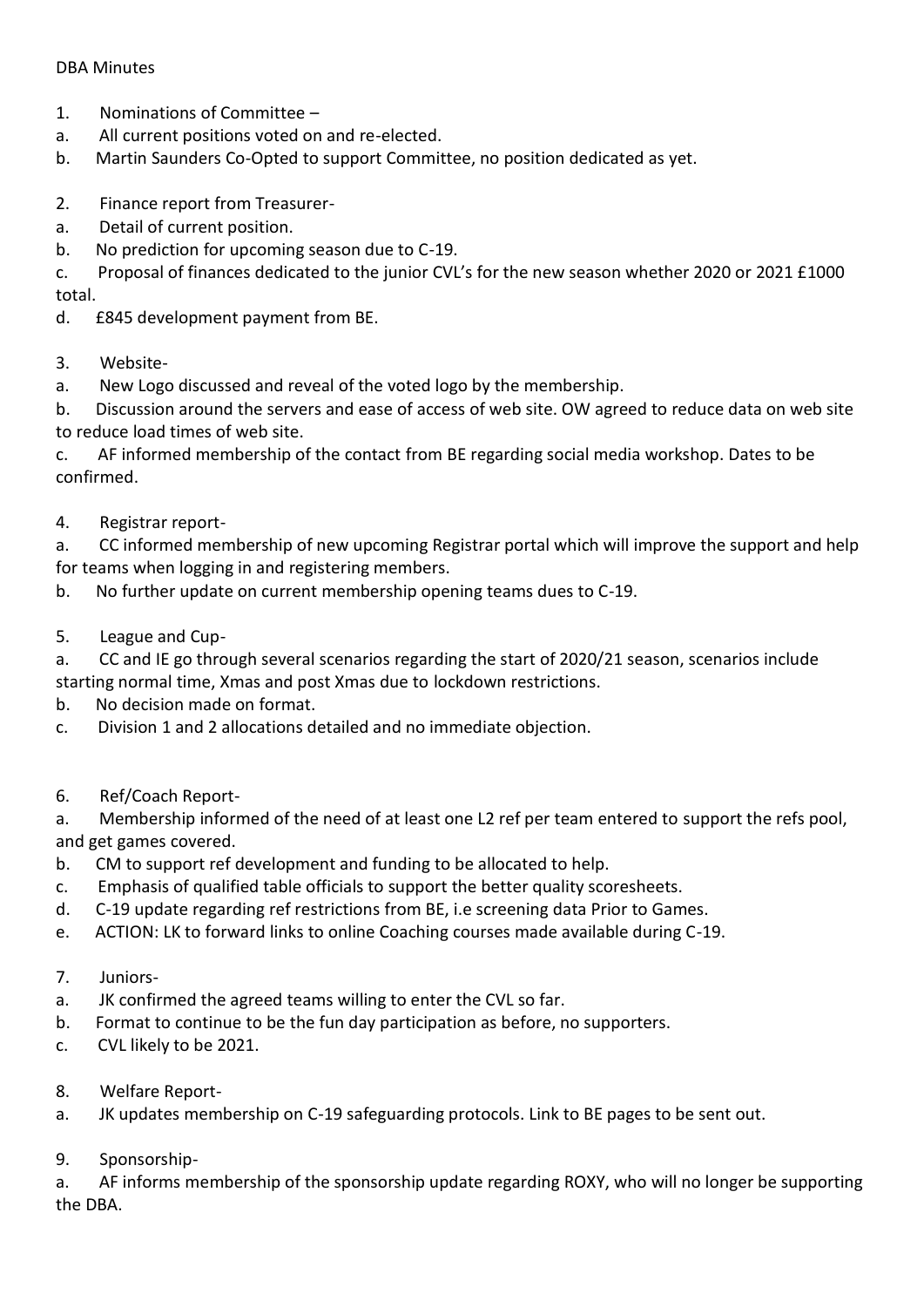## DBA Minutes

- 1. Nominations of Committee –
- a. All current positions voted on and re-elected.
- b. Martin Saunders Co-Opted to support Committee, no position dedicated as yet.
- 2. Finance report from Treasurer-
- a. Detail of current position.
- b. No prediction for upcoming season due to C-19.

c. Proposal of finances dedicated to the junior CVL's for the new season whether 2020 or 2021 £1000 total.

- d. £845 development payment from BE.
- 3. Website-
- a. New Logo discussed and reveal of the voted logo by the membership.

b. Discussion around the servers and ease of access of web site. OW agreed to reduce data on web site to reduce load times of web site.

c. AF informed membership of the contact from BE regarding social media workshop. Dates to be confirmed.

4. Registrar report-

a. CC informed membership of new upcoming Registrar portal which will improve the support and help for teams when logging in and registering members.

b. No further update on current membership opening teams dues to C-19.

5. League and Cup-

a. CC and IE go through several scenarios regarding the start of 2020/21 season, scenarios include starting normal time, Xmas and post Xmas due to lockdown restrictions.

- b. No decision made on format.
- c. Division 1 and 2 allocations detailed and no immediate objection.
- 6. Ref/Coach Report-

a. Membership informed of the need of at least one L2 ref per team entered to support the refs pool, and get games covered.

- b. CM to support ref development and funding to be allocated to help.
- c. Emphasis of qualified table officials to support the better quality scoresheets.
- d. C-19 update regarding ref restrictions from BE, i.e screening data Prior to Games.
- e. ACTION: LK to forward links to online Coaching courses made available during C-19.
- 7. Juniors-
- a. JK confirmed the agreed teams willing to enter the CVL so far.
- b. Format to continue to be the fun day participation as before, no supporters.
- c. CVL likely to be 2021.
- 8. Welfare Report-
- a. JK updates membership on C-19 safeguarding protocols. Link to BE pages to be sent out.
- 9. Sponsorship-

a. AF informs membership of the sponsorship update regarding ROXY, who will no longer be supporting the DBA.